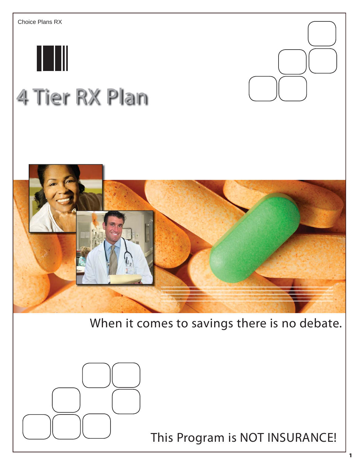

# 4 Tier RX Plan



# When it comes to savings there is no debate.



This Program is NOT INSURANCE!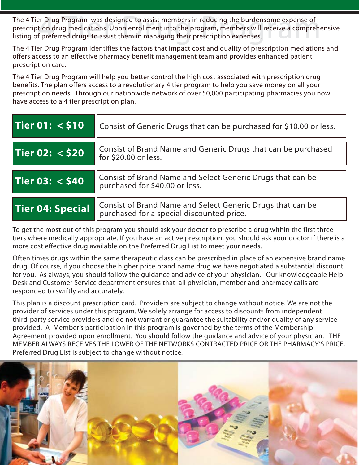The 4 Tier Drug Program was designed to assist members in reducing the burdensome expense of<br>prescription drug medications. Upon enrollment into the program, members will receive a comprehe<br>listing of preferred drugs to as prescription drug medications. Upon enrollment into the program, members will receive a comprehensive listing of preferred drugs to assist them in managing their prescription expenses.

The 4 Tier Drug Program identifies the factors that impact cost and quality of prescription mediations and offers access to an effective pharmacy benefit management team and provides enhanced patient prescription care.

The 4 Tier Drug Program will help you better control the high cost associated with prescription drug benefits. The plan offers access to a revolutionary 4 tier program to help you save money on all your prescription needs. Through our nationwide network of over 50,000 participating pharmacies you now have access to a 4 tier prescription plan.

| Tier 01: $<$ \$10 | Consist of Generic Drugs that can be purchased for \$10.00 or less.                                     |  |  |
|-------------------|---------------------------------------------------------------------------------------------------------|--|--|
| Tier 02: < \$20   | Consist of Brand Name and Generic Drugs that can be purchased<br>for \$20.00 or less.                   |  |  |
| Tier 03: < \$40   | Consist of Brand Name and Select Generic Drugs that can be<br>purchased for \$40.00 or less.            |  |  |
| Tier 04: Special  | Consist of Brand Name and Select Generic Drugs that can be<br>purchased for a special discounted price. |  |  |

To get the most out of this program you should ask your doctor to prescribe a drug within the first three tiers where medically appropriate. If you have an active prescription, you should ask your doctor if there is a more cost effective drug available on the Preferred Drug List to meet your needs.

Often times drugs within the same therapeutic class can be prescribed in place of an expensive brand name drug. Of course, if you choose the higher price brand name drug we have negotiated a substantial discount for you. As always, you should follow the guidance and advice of your physician. Our knowledgeable Help Desk and Customer Service department ensures that all physician, member and pharmacy calls are responded to swiftly and accurately.

This plan is a discount prescription card. Providers are subject to change without notice. We are not the provider of services under this program. We solely arrange for access to discounts from independent third-party service providers and do not warrant or guarantee the suitability and/or quality of any service provided. A Member's participation in this program is governed by the terms of the Membership Agreement provided upon enrollment. You should follow the guidance and advice of your physician. THE MEMBER ALWAYS RECEIVES THE LOWER OF THE NETWORKS CONTRACTED PRICE OR THE PHARMACY'S PRICE. Preferred Drug List is subject to change without notice.